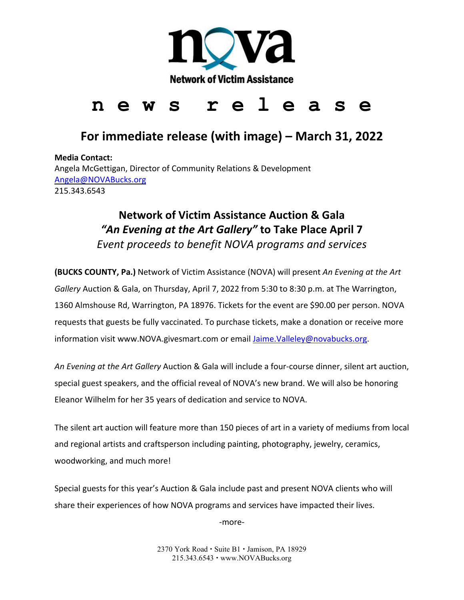

# Network of Victim Assistance<br> **n** e w s r e l e a s e

## **For immediate release (with image) – March 31, 2022**

**Media Contact:**  Angela McGettigan, Director of Community Relations & Development [Angela@NOVABucks.org](mailto:Angela@NOVABucks.org) 215.343.6543

## **Network of Victim Assistance Auction & Gala**  *"An Evening at the Art Gallery"* **to Take Place April 7** *Event proceeds to benefit NOVA programs and services*

**(BUCKS COUNTY, Pa.)** Network of Victim Assistance (NOVA) will present *An Evening at the Art Gallery* Auction & Gala, on Thursday, April 7, 2022 from 5:30 to 8:30 p.m. at The Warrington, 1360 Almshouse Rd, Warrington, PA 18976. Tickets for the event are \$90.00 per person. NOVA requests that guests be fully vaccinated. To purchase tickets, make a donation or receive more information visit www.NOVA.givesmart.com or email [Jaime.Valleley@novabucks.org.](mailto:Jaime.Valleley@novabucks.org)

*An Evening at the Art Gallery* Auction & Gala will include a four-course dinner, silent art auction, special guest speakers, and the official reveal of NOVA's new brand. We will also be honoring Eleanor Wilhelm for her 35 years of dedication and service to NOVA.

The silent art auction will feature more than 150 pieces of art in a variety of mediums from local and regional artists and craftsperson including painting, photography, jewelry, ceramics, woodworking, and much more!

Special guests for this year's Auction & Gala include past and present NOVA clients who will share their experiences of how NOVA programs and services have impacted their lives.

-more-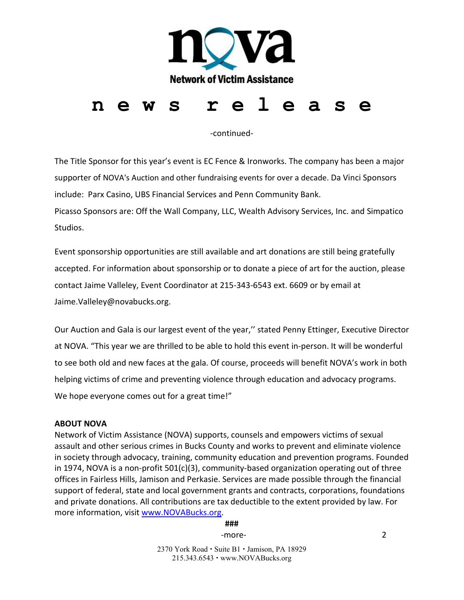

-continued-

The Title Sponsor for this year's event is EC Fence & Ironworks. The company has been a major supporter of NOVA's Auction and other fundraising events for over a decade. Da Vinci Sponsors include: Parx Casino, UBS Financial Services and Penn Community Bank.

Picasso Sponsors are: Off the Wall Company, LLC, Wealth Advisory Services, Inc. and Simpatico Studios.

Event sponsorship opportunities are still available and art donations are still being gratefully accepted. For information about sponsorship or to donate a piece of art for the auction, please contact Jaime Valleley, Event Coordinator at 215-343-6543 ext. 6609 or by email at Jaime.Valleley@novabucks.org.

Our Auction and Gala is our largest event of the year,'' stated Penny Ettinger, Executive Director at NOVA. "This year we are thrilled to be able to hold this event in-person. It will be wonderful to see both old and new faces at the gala. Of course, proceeds will benefit NOVA's work in both helping victims of crime and preventing violence through education and advocacy programs. We hope everyone comes out for a great time!"

#### **ABOUT NOVA**

Network of Victim Assistance (NOVA) supports, counsels and empowers victims of sexual assault and other serious crimes in Bucks County and works to prevent and eliminate violence in society through advocacy, training, community education and prevention programs. Founded in 1974, NOVA is a non-profit 501(c)(3), community-based organization operating out of three offices in Fairless Hills, Jamison and Perkasie. Services are made possible through the financial support of federal, state and local government grants and contracts, corporations, foundations and private donations. All contributions are tax deductible to the extent provided by law. For more information, visit [www.NOVABucks.org.](http://www.novabucks.org/)

**###**

-more-